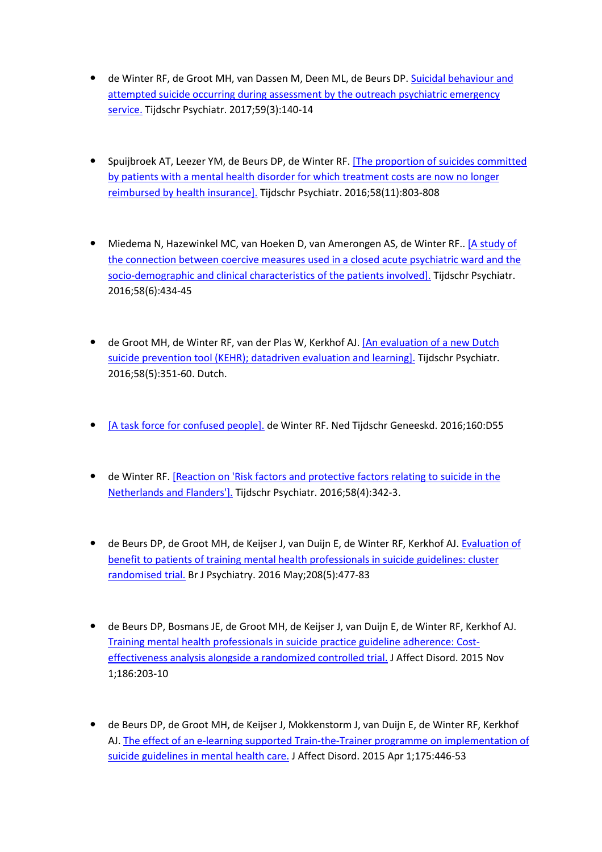- de Winter RF, de Groot MH, van Dassen M, Deen ML, de Beurs DP. Suicidal behaviour and attempted suicide occurring during assessment by the outreach psychiatric emergency service. Tijdschr Psychiatr. 2017;59(3):140-14
- Spuijbroek AT, Leezer YM, de Beurs DP, de Winter RF. [The proportion of suicides committed by patients with a mental health disorder for which treatment costs are now no longer reimbursed by health insurance]. Tijdschr Psychiatr. 2016;58(11):803-808
- Miedema N, Hazewinkel MC, van Hoeken D, van Amerongen AS, de Winter RF.. [A study of the connection between coercive measures used in a closed acute psychiatric ward and the socio-demographic and clinical characteristics of the patients involved]. Tijdschr Psychiatr. 2016;58(6):434-45
- de Groot MH, de Winter RF, van der Plas W, Kerkhof AJ. [An evaluation of a new Dutch suicide prevention tool (KEHR); datadriven evaluation and learning]. Tijdschr Psychiatr. 2016;58(5):351-60. Dutch.
- [A task force for confused people]. de Winter RF. Ned Tijdschr Geneeskd. 2016;160:D55
- de Winter RF. [Reaction on 'Risk factors and protective factors relating to suicide in the Netherlands and Flanders']. Tijdschr Psychiatr. 2016;58(4):342-3.
- de Beurs DP, de Groot MH, de Keijser J, van Duijn E, de Winter RF, Kerkhof AJ. Evaluation of benefit to patients of training mental health professionals in suicide guidelines: cluster randomised trial. Br J Psychiatry. 2016 May;208(5):477-83
- de Beurs DP, Bosmans JE, de Groot MH, de Keijser J, van Duijn E, de Winter RF, Kerkhof AJ. Training mental health professionals in suicide practice guideline adherence: Costeffectiveness analysis alongside a randomized controlled trial. J Affect Disord. 2015 Nov 1;186:203-10
- de Beurs DP, de Groot MH, de Keijser J, Mokkenstorm J, van Duijn E, de Winter RF, Kerkhof AJ. The effect of an e-learning supported Train-the-Trainer programme on implementation of suicide guidelines in mental health care. J Affect Disord. 2015 Apr 1;175:446-53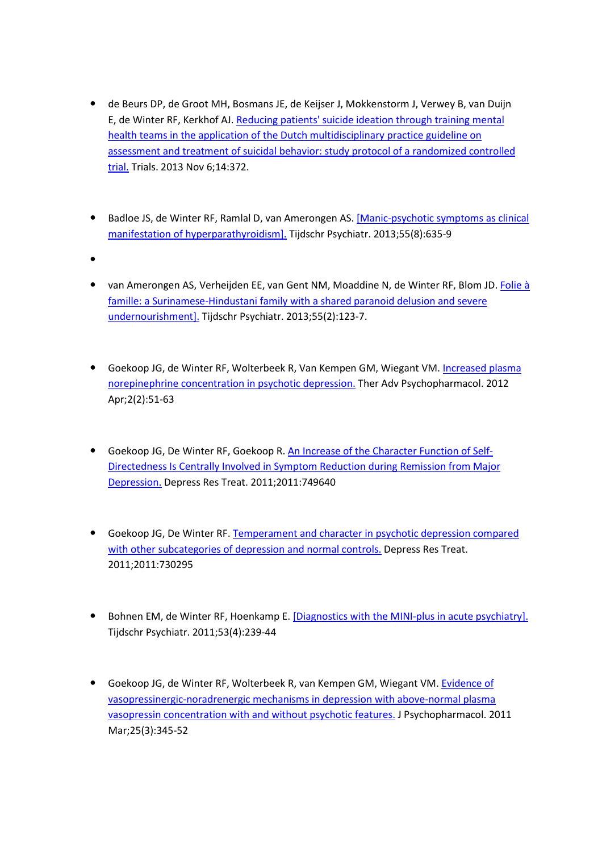- de Beurs DP, de Groot MH, Bosmans JE, de Keijser J, Mokkenstorm J, Verwey B, van Duijn E, de Winter RF, Kerkhof AJ. Reducing patients' suicide ideation through training mental health teams in the application of the Dutch multidisciplinary practice guideline on assessment and treatment of suicidal behavior: study protocol of a randomized controlled trial. Trials. 2013 Nov 6;14:372.
- Badloe JS, de Winter RF, Ramlal D, van Amerongen AS. [Manic-psychotic symptoms as clinical manifestation of hyperparathyroidism]. Tijdschr Psychiatr. 2013;55(8):635-9
- $\bullet$
- van Amerongen AS, Verheijden EE, van Gent NM, Moaddine N, de Winter RF, Blom JD. Folie à famille: a Surinamese-Hindustani family with a shared paranoid delusion and severe undernourishment]. Tijdschr Psychiatr. 2013;55(2):123-7.
- Goekoop JG, de Winter RF, Wolterbeek R, Van Kempen GM, Wiegant VM. Increased plasma norepinephrine concentration in psychotic depression. Ther Adv Psychopharmacol. 2012 Apr;2(2):51-63
- **Goekoop JG, De Winter RF, Goekoop R. An Increase of the Character Function of Self-**Directedness Is Centrally Involved in Symptom Reduction during Remission from Major Depression. Depress Res Treat. 2011;2011:749640
- Goekoop JG, De Winter RF. Temperament and character in psychotic depression compared with other subcategories of depression and normal controls. Depress Res Treat. 2011;2011:730295
- **•** Bohnen EM, de Winter RF, Hoenkamp E. [Diagnostics with the MINI-plus in acute psychiatry]. Tijdschr Psychiatr. 2011;53(4):239-44
- Goekoop JG, de Winter RF, Wolterbeek R, van Kempen GM, Wiegant VM. Evidence of vasopressinergic-noradrenergic mechanisms in depression with above-normal plasma vasopressin concentration with and without psychotic features. J Psychopharmacol. 2011 Mar;25(3):345-52